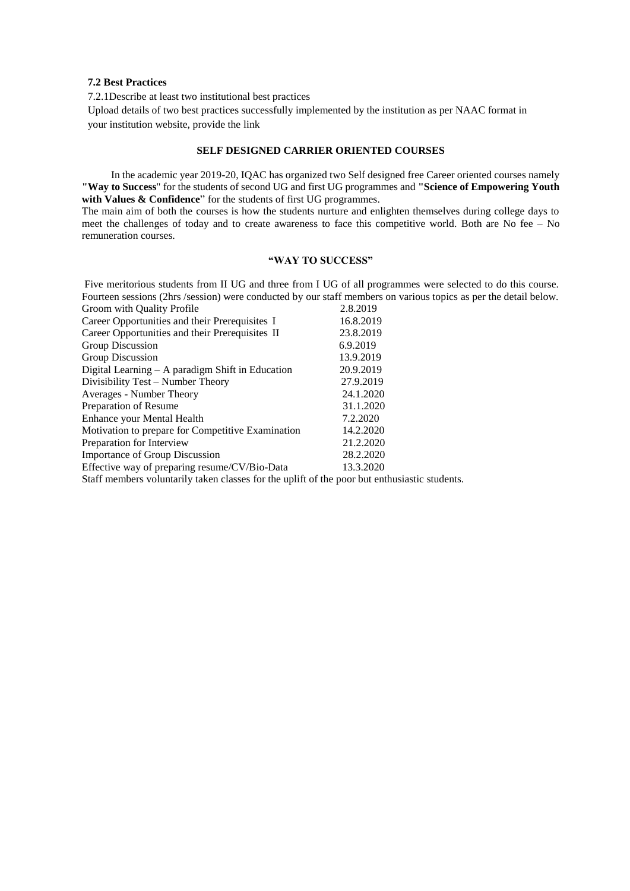#### **7.2 Best Practices**

7.2.1Describe at least two institutional best practices

Upload details of two best practices successfully implemented by the institution as per NAAC format in your institution website, provide the link

## **SELF DESIGNED CARRIER ORIENTED COURSES**

 In the academic year 2019-20, IQAC has organized two Self designed free Career oriented courses namely **"Way to Success**" for the students of second UG and first UG programmes and **"Science of Empowering Youth**  with Values & Confidence" for the students of first UG programmes.

The main aim of both the courses is how the students nurture and enlighten themselves during college days to meet the challenges of today and to create awareness to face this competitive world. Both are No fee – No remuneration courses.

# **"WAY TO SUCCESS"**

Five meritorious students from II UG and three from I UG of all programmes were selected to do this course. Fourteen sessions (2hrs /session) were conducted by our staff members on various topics as per the detail below.<br>Crossen with Quality Profile with Quality Profile

| Groom with Quality Profile                                                       | 2.8.2019  |
|----------------------------------------------------------------------------------|-----------|
| Career Opportunities and their Prerequisites I                                   | 16.8.2019 |
| Career Opportunities and their Prerequisites II                                  | 23.8.2019 |
| Group Discussion                                                                 | 6.9.2019  |
| Group Discussion                                                                 | 13.9.2019 |
| Digital Learning – A paradigm Shift in Education                                 | 20.9.2019 |
| Divisibility Test – Number Theory                                                | 27.9.2019 |
| Averages - Number Theory                                                         | 24.1.2020 |
| Preparation of Resume                                                            | 31.1.2020 |
| Enhance your Mental Health                                                       | 7.2.2020  |
| Motivation to prepare for Competitive Examination                                | 14.2.2020 |
| Preparation for Interview                                                        | 21.2.2020 |
| <b>Importance of Group Discussion</b>                                            | 28.2.2020 |
| Effective way of preparing resume/CV/Bio-Data                                    | 13.3.2020 |
| Staff members voluntarily taken classes for the unlift of the noor but enthusias |           |

Staff members voluntarily taken classes for the uplift of the poor but enthusiastic students.